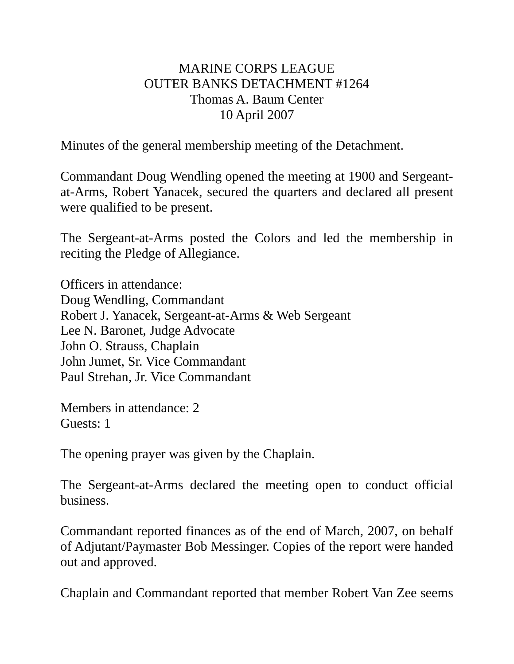## MARINE CORPS LEAGUE OUTER BANKS DETACHMENT #1264 Thomas A. Baum Center 10 April 2007

Minutes of the general membership meeting of the Detachment.

Commandant Doug Wendling opened the meeting at 1900 and Sergeantat-Arms, Robert Yanacek, secured the quarters and declared all present were qualified to be present.

The Sergeant-at-Arms posted the Colors and led the membership in reciting the Pledge of Allegiance.

Officers in attendance: Doug Wendling, Commandant Robert J. Yanacek, Sergeant-at-Arms & Web Sergeant Lee N. Baronet, Judge Advocate John O. Strauss, Chaplain John Jumet, Sr. Vice Commandant Paul Strehan, Jr. Vice Commandant

Members in attendance: 2 Guests: 1

The opening prayer was given by the Chaplain.

The Sergeant-at-Arms declared the meeting open to conduct official business.

Commandant reported finances as of the end of March, 2007, on behalf of Adjutant/Paymaster Bob Messinger. Copies of the report were handed out and approved.

Chaplain and Commandant reported that member Robert Van Zee seems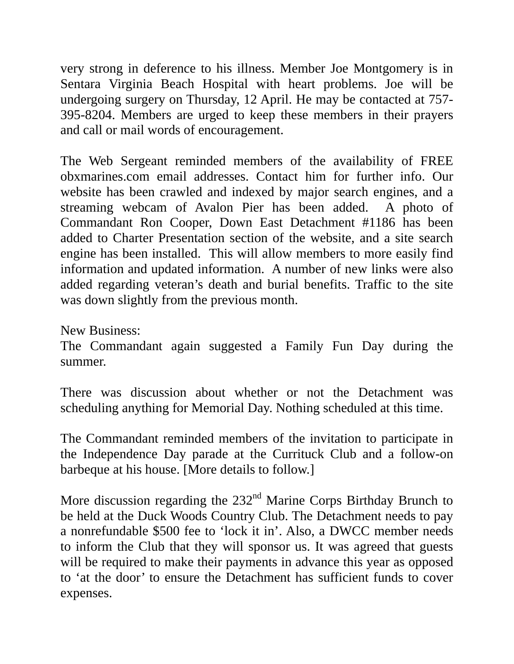very strong in deference to his illness. Member Joe Montgomery is in Sentara Virginia Beach Hospital with heart problems. Joe will be undergoing surgery on Thursday, 12 April. He may be contacted at 757- 395-8204. Members are urged to keep these members in their prayers and call or mail words of encouragement.

The Web Sergeant reminded members of the availability of FREE obxmarines.com email addresses. Contact him for further info. Our website has been crawled and indexed by major search engines, and a streaming webcam of Avalon Pier has been added. A photo of Commandant Ron Cooper, Down East Detachment #1186 has been added to Charter Presentation section of the website, and a site search engine has been installed. This will allow members to more easily find information and updated information. A number of new links were also added regarding veteran's death and burial benefits. Traffic to the site was down slightly from the previous month.

New Business:

The Commandant again suggested a Family Fun Day during the summer.

There was discussion about whether or not the Detachment was scheduling anything for Memorial Day. Nothing scheduled at this time.

The Commandant reminded members of the invitation to participate in the Independence Day parade at the Currituck Club and a follow-on barbeque at his house. [More details to follow.]

More discussion regarding the 232<sup>nd</sup> Marine Corps Birthday Brunch to be held at the Duck Woods Country Club. The Detachment needs to pay a nonrefundable \$500 fee to 'lock it in'. Also, a DWCC member needs to inform the Club that they will sponsor us. It was agreed that guests will be required to make their payments in advance this year as opposed to 'at the door' to ensure the Detachment has sufficient funds to cover expenses.